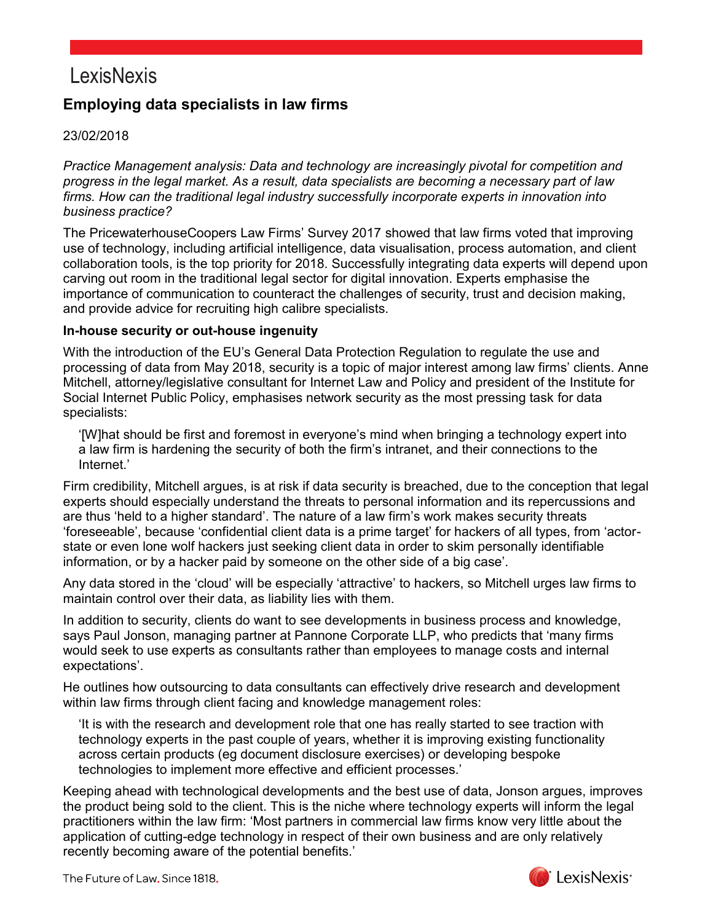### **Employing data specialists in law firms**

#### 23/02/2018

*Practice Management analysis: Data and technology are increasingly pivotal for competition and progress in the legal market. As a result, data specialists are becoming a necessary part of law firms. How can the traditional legal industry successfully incorporate experts in innovation into business practice?*

The PricewaterhouseCoopers Law Firms' Survey 2017 showed that law firms voted that improving use of technology, including artificial intelligence, data visualisation, process automation, and client collaboration tools, is the top priority for 2018. Successfully integrating data experts will depend upon carving out room in the traditional legal sector for digital innovation. Experts emphasise the importance of communication to counteract the challenges of security, trust and decision making, and provide advice for recruiting high calibre specialists.

#### **In-house security or out-house ingenuity**

With the introduction of the EU's General Data Protection Regulation to regulate the use and processing of data from May 2018, security is a topic of major interest among law firms' clients. Anne Mitchell, attorney/legislative consultant for Internet Law and Policy and president of the Institute for Social Internet Public Policy, emphasises network security as the most pressing task for data specialists:

'[W]hat should be first and foremost in everyone's mind when bringing a technology expert into a law firm is hardening the security of both the firm's intranet, and their connections to the Internet.'

Firm credibility, Mitchell argues, is at risk if data security is breached, due to the conception that legal experts should especially understand the threats to personal information and its repercussions and are thus 'held to a higher standard'. The nature of a law firm's work makes security threats 'foreseeable', because 'confidential client data is a prime target' for hackers of all types, from 'actorstate or even lone wolf hackers just seeking client data in order to skim personally identifiable information, or by a hacker paid by someone on the other side of a big case'.

Any data stored in the 'cloud' will be especially 'attractive' to hackers, so Mitchell urges law firms to maintain control over their data, as liability lies with them.

In addition to security, clients do want to see developments in business process and knowledge, says Paul Jonson, managing partner at Pannone Corporate LLP, who predicts that 'many firms would seek to use experts as consultants rather than employees to manage costs and internal expectations'.

He outlines how outsourcing to data consultants can effectively drive research and development within law firms through client facing and knowledge management roles:

'It is with the research and development role that one has really started to see traction with technology experts in the past couple of years, whether it is improving existing functionality across certain products (eg document disclosure exercises) or developing bespoke technologies to implement more effective and efficient processes.'

Keeping ahead with technological developments and the best use of data, Jonson argues, improves the product being sold to the client. This is the niche where technology experts will inform the legal practitioners within the law firm: 'Most partners in commercial law firms know very little about the application of cutting-edge technology in respect of their own business and are only relatively recently becoming aware of the potential benefits.'

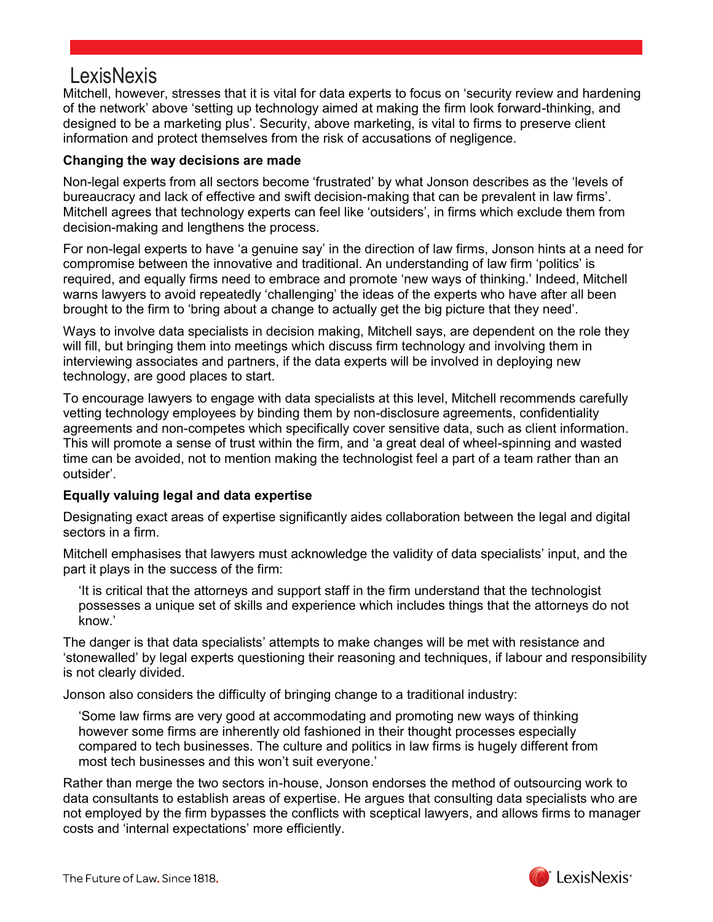Mitchell, however, stresses that it is vital for data experts to focus on 'security review and hardening of the network' above 'setting up technology aimed at making the firm look forward-thinking, and designed to be a marketing plus'. Security, above marketing, is vital to firms to preserve client information and protect themselves from the risk of accusations of negligence.

#### **Changing the way decisions are made**

Non-legal experts from all sectors become 'frustrated' by what Jonson describes as the 'levels of bureaucracy and lack of effective and swift decision-making that can be prevalent in law firms'. Mitchell agrees that technology experts can feel like 'outsiders', in firms which exclude them from decision-making and lengthens the process.

For non-legal experts to have 'a genuine say' in the direction of law firms, Jonson hints at a need for compromise between the innovative and traditional. An understanding of law firm 'politics' is required, and equally firms need to embrace and promote 'new ways of thinking.' Indeed, Mitchell warns lawyers to avoid repeatedly 'challenging' the ideas of the experts who have after all been brought to the firm to 'bring about a change to actually get the big picture that they need'.

Ways to involve data specialists in decision making, Mitchell says, are dependent on the role they will fill, but bringing them into meetings which discuss firm technology and involving them in interviewing associates and partners, if the data experts will be involved in deploying new technology, are good places to start.

To encourage lawyers to engage with data specialists at this level, Mitchell recommends carefully vetting technology employees by binding them by non-disclosure agreements, confidentiality agreements and non-competes which specifically cover sensitive data, such as client information. This will promote a sense of trust within the firm, and 'a great deal of wheel-spinning and wasted time can be avoided, not to mention making the technologist feel a part of a team rather than an outsider'.

#### **Equally valuing legal and data expertise**

Designating exact areas of expertise significantly aides collaboration between the legal and digital sectors in a firm.

Mitchell emphasises that lawyers must acknowledge the validity of data specialists' input, and the part it plays in the success of the firm:

'It is critical that the attorneys and support staff in the firm understand that the technologist possesses a unique set of skills and experience which includes things that the attorneys do not know.'

The danger is that data specialists' attempts to make changes will be met with resistance and 'stonewalled' by legal experts questioning their reasoning and techniques, if labour and responsibility is not clearly divided.

Jonson also considers the difficulty of bringing change to a traditional industry:

'Some law firms are very good at accommodating and promoting new ways of thinking however some firms are inherently old fashioned in their thought processes especially compared to tech businesses. The culture and politics in law firms is hugely different from most tech businesses and this won't suit everyone.'

Rather than merge the two sectors in-house, Jonson endorses the method of outsourcing work to data consultants to establish areas of expertise. He argues that consulting data specialists who are not employed by the firm bypasses the conflicts with sceptical lawyers, and allows firms to manager costs and 'internal expectations' more efficiently.

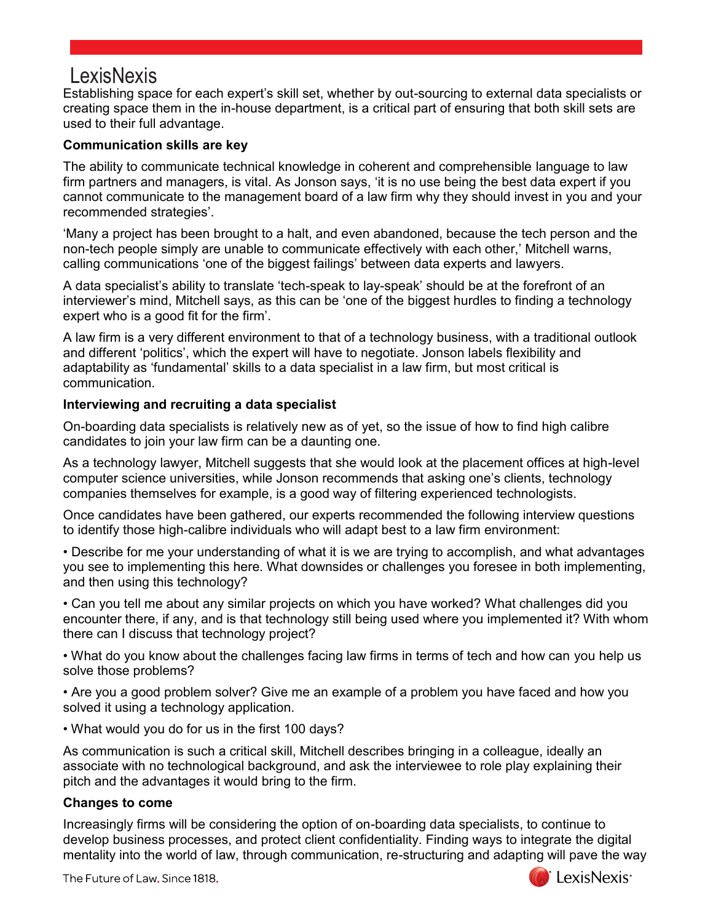Establishing space for each expert's skill set, whether by out-sourcing to external data specialists or creating space them in the in-house department, is a critical part of ensuring that both skill sets are used to their full advantage.

#### **Communication skills are key**

The ability to communicate technical knowledge in coherent and comprehensible language to law firm partners and managers, is vital. As Jonson says, 'it is no use being the best data expert if you cannot communicate to the management board of a law firm why they should invest in you and your recommended strategies'.

'Many a project has been brought to a halt, and even abandoned, because the tech person and the non-tech people simply are unable to communicate effectively with each other,' Mitchell warns, calling communications 'one of the biggest failings' between data experts and lawyers.

A data specialist's ability to translate 'tech-speak to lay-speak' should be at the forefront of an interviewer's mind, Mitchell says, as this can be 'one of the biggest hurdles to finding a technology expert who is a good fit for the firm'.

A law firm is a very different environment to that of a technology business, with a traditional outlook and different 'politics', which the expert will have to negotiate. Jonson labels flexibility and adaptability as 'fundamental' skills to a data specialist in a law firm, but most critical is communication.

#### **Interviewing and recruiting a data specialist**

On-boarding data specialists is relatively new as of yet, so the issue of how to find high calibre candidates to join your law firm can be a daunting one.

As a technology lawyer, Mitchell suggests that she would look at the placement offices at high-level computer science universities, while Jonson recommends that asking one's clients, technology companies themselves for example, is a good way of filtering experienced technologists.

Once candidates have been gathered, our experts recommended the following interview questions to identify those high-calibre individuals who will adapt best to a law firm environment:

• Describe for me your understanding of what it is we are trying to accomplish, and what advantages you see to implementing this here. What downsides or challenges you foresee in both implementing, and then using this technology?

• Can you tell me about any similar projects on which you have worked? What challenges did you encounter there, if any, and is that technology still being used where you implemented it? With whom there can I discuss that technology project?

• What do you know about the challenges facing law firms in terms of tech and how can you help us solve those problems?

• Are you a good problem solver? Give me an example of a problem you have faced and how you solved it using a technology application.

• What would you do for us in the first 100 days?

As communication is such a critical skill, Mitchell describes bringing in a colleague, ideally an associate with no technological background, and ask the interviewee to role play explaining their pitch and the advantages it would bring to the firm.

#### **Changes to come**

Increasingly firms will be considering the option of on-boarding data specialists, to continue to develop business processes, and protect client confidentiality. Finding ways to integrate the digital mentality into the world of law, through communication, re-structuring and adapting will pave the way